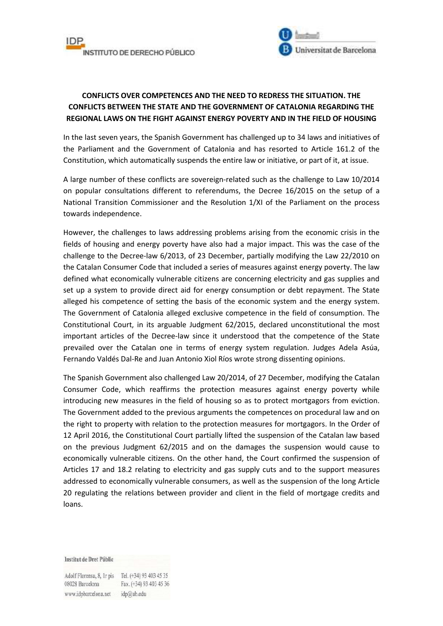



## **CONFLICTS OVER COMPETENCES AND THE NEED TO REDRESS THE SITUATION. THE CONFLICTS BETWEEN THE STATE AND THE GOVERNMENT OF CATALONIA REGARDING THE REGIONAL LAWS ON THE FIGHT AGAINST ENERGY POVERTY AND IN THE FIELD OF HOUSING**

In the last seven years, the Spanish Government has challenged up to 34 laws and initiatives of the Parliament and the Government of Catalonia and has resorted to Article 161.2 of the Constitution, which automatically suspends the entire law or initiative, or part of it, at issue.

A large number of these conflicts are sovereign-related such as the challenge to Law 10/2014 on popular consultations different to referendums, the Decree 16/2015 on the setup of a National Transition Commissioner and the Resolution 1/XI of the Parliament on the process towards independence.

However, the challenges to laws addressing problems arising from the economic crisis in the fields of housing and energy poverty have also had a major impact. This was the case of the challenge to the Decree-law 6/2013, of 23 December, partially modifying the Law 22/2010 on the Catalan Consumer Code that included a series of measures against energy poverty. The law defined what economically vulnerable citizens are concerning electricity and gas supplies and set up a system to provide direct aid for energy consumption or debt repayment. The State alleged his competence of setting the basis of the economic system and the energy system. The Government of Catalonia alleged exclusive competence in the field of consumption. The Constitutional Court, in its arguable Judgment 62/2015, declared unconstitutional the most important articles of the Decree-law since it understood that the competence of the State prevailed over the Catalan one in terms of energy system regulation. Judges Adela Asúa, Fernando Valdés Dal-Re and Juan Antonio Xiol Ríos wrote strong dissenting opinions.

The Spanish Government also challenged Law 20/2014, of 27 December, modifying the Catalan Consumer Code, which reaffirms the protection measures against energy poverty while introducing new measures in the field of housing so as to protect mortgagors from eviction. The Government added to the previous arguments the competences on procedural law and on the right to property with relation to the protection measures for mortgagors. In the Order of 12 April 2016, the Constitutional Court partially lifted the suspension of the Catalan law based on the previous Judgment 62/2015 and on the damages the suspension would cause to economically vulnerable citizens. On the other hand, the Court confirmed the suspension of Articles 17 and 18.2 relating to electricity and gas supply cuts and to the support measures addressed to economically vulnerable consumers, as well as the suspension of the long Article 20 regulating the relations between provider and client in the field of mortgage credits and loans.

Institut de Dret Públic

Adolf Florensa, 8, Ir pis Tel. (+34) 93 403 45 35 08028 Barcelona Fax. (+34) 93 403 45 36 www.idpbarcelona.net idp@ub.edu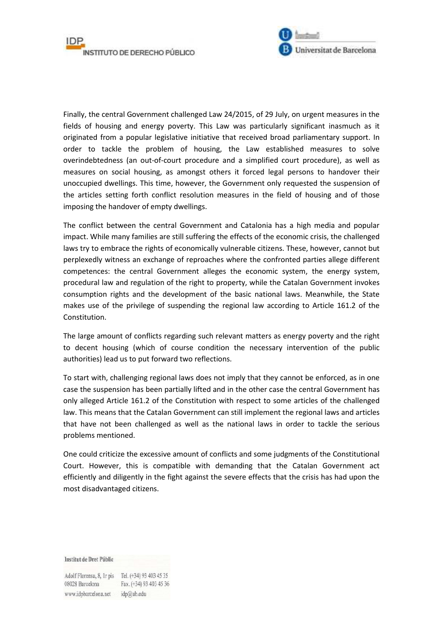

Finally, the central Government challenged Law 24/2015, of 29 July, on urgent measures in the fields of housing and energy poverty. This Law was particularly significant inasmuch as it originated from a popular legislative initiative that received broad parliamentary support. In order to tackle the problem of housing, the Law established measures to solve overindebtedness (an out-of-court procedure and a simplified court procedure), as well as measures on social housing, as amongst others it forced legal persons to handover their unoccupied dwellings. This time, however, the Government only requested the suspension of the articles setting forth conflict resolution measures in the field of housing and of those imposing the handover of empty dwellings.

The conflict between the central Government and Catalonia has a high media and popular impact. While many families are still suffering the effects of the economic crisis, the challenged laws try to embrace the rights of economically vulnerable citizens. These, however, cannot but perplexedly witness an exchange of reproaches where the confronted parties allege different competences: the central Government alleges the economic system, the energy system, procedural law and regulation of the right to property, while the Catalan Government invokes consumption rights and the development of the basic national laws. Meanwhile, the State makes use of the privilege of suspending the regional law according to Article 161.2 of the Constitution.

The large amount of conflicts regarding such relevant matters as energy poverty and the right to decent housing (which of course condition the necessary intervention of the public authorities) lead us to put forward two reflections.

To start with, challenging regional laws does not imply that they cannot be enforced, as in one case the suspension has been partially lifted and in the other case the central Government has only alleged Article 161.2 of the Constitution with respect to some articles of the challenged law. This means that the Catalan Government can still implement the regional laws and articles that have not been challenged as well as the national laws in order to tackle the serious problems mentioned.

One could criticize the excessive amount of conflicts and some judgments of the Constitutional Court. However, this is compatible with demanding that the Catalan Government act efficiently and diligently in the fight against the severe effects that the crisis has had upon the most disadvantaged citizens.

Institut de Dret Públic

Adolf Florensa, 8, Ir pis Tel. (+34) 93 403 45 35 08028 Barcelona Fax. (+34) 93 403 45 36 www.idpbarcelona.net idp@ub.edu